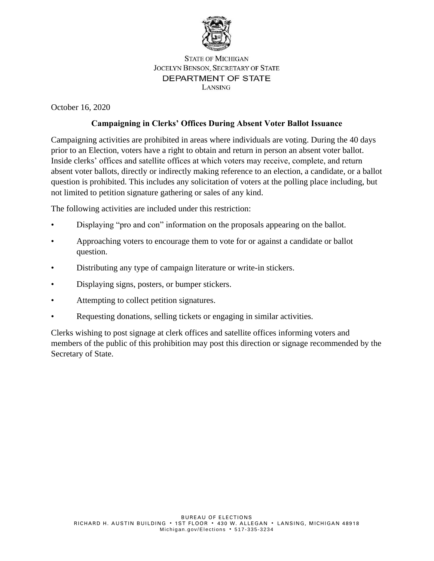

## **STATE OF MICHIGAN JOCELYN BENSON, SECRETARY OF STATE** DEPARTMENT OF STATE LANSING

October 16, 2020

## **Campaigning in Clerks' Offices During Absent Voter Ballot Issuance**

Campaigning activities are prohibited in areas where individuals are voting. During the 40 days prior to an Election, voters have a right to obtain and return in person an absent voter ballot. Inside clerks' offices and satellite offices at which voters may receive, complete, and return absent voter ballots, directly or indirectly making reference to an election, a candidate, or a ballot question is prohibited. This includes any solicitation of voters at the polling place including, but not limited to petition signature gathering or sales of any kind.

The following activities are included under this restriction:

- Displaying "pro and con" information on the proposals appearing on the ballot.
- Approaching voters to encourage them to vote for or against a candidate or ballot question.
- Distributing any type of campaign literature or write-in stickers.
- Displaying signs, posters, or bumper stickers.
- Attempting to collect petition signatures.
- Requesting donations, selling tickets or engaging in similar activities.

Clerks wishing to post signage at clerk offices and satellite offices informing voters and members of the public of this prohibition may post this direction or signage recommended by the Secretary of State.